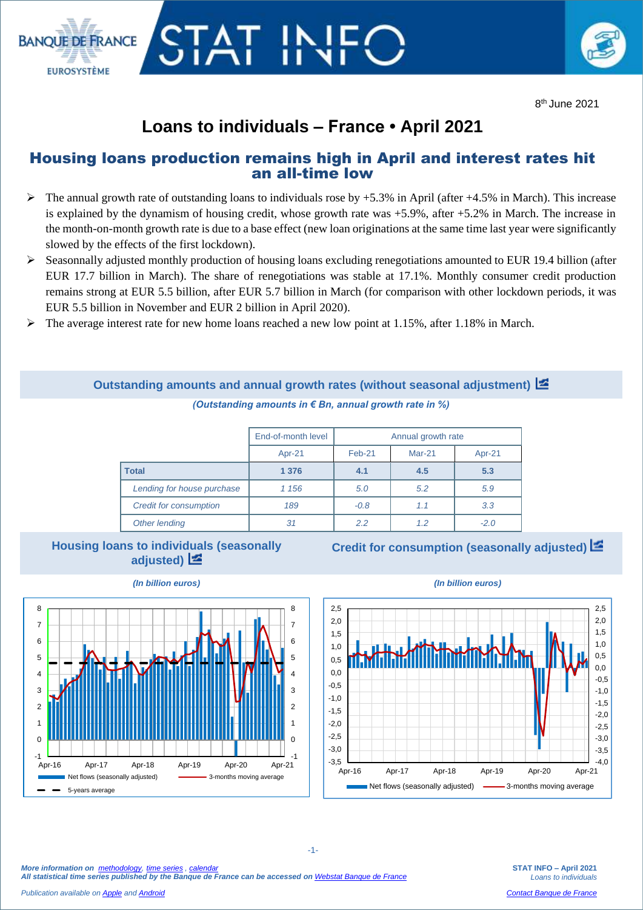

8 th June 2021

## **Loans to individuals – France • April 2021**

STAT IN

**BANOUE DE ERANCE** 

**EUROSYSTÈME** 

## Housing loans production remains high in April and interest rates hit an all-time low

- $\triangleright$  The annual growth rate of outstanding loans to individuals rose by +5.3% in April (after +4.5% in March). This increase is explained by the dynamism of housing credit, whose growth rate was +5.9%, after +5.2% in March. The increase in the month-on-month growth rate is due to a base effect (new loan originations at the same time last year were significantly slowed by the effects of the first lockdown).
- $\triangleright$  Seasonnally adjusted monthly production of housing loans excluding renegotiations amounted to EUR 19.4 billion (after EUR 17.7 billion in March). The share of renegotiations was stable at 17.1%. Monthly consumer credit production remains strong at EUR 5.5 billion, after EUR 5.7 billion in March (for comparison with other lockdown periods, it was EUR 5.5 billion in November and EUR 2 billion in April 2020).
- $\triangleright$  The average interest rate for new home loans reached a new low point at 1.15%, after 1.18% in March.

|                               | End-of-month level | Annual growth rate |          |          |  |
|-------------------------------|--------------------|--------------------|----------|----------|--|
|                               | Apr-21             | Feb-21             | $Mar-21$ | $Apr-21$ |  |
| <b>Total</b>                  | 1 3 7 6            | 4.1                | 4.5      | 5.3      |  |
| Lending for house purchase    | 1 1 5 6            | 5.0                | 5.2      | 5.9      |  |
| <b>Credit for consumption</b> | 189                | $-0.8$             | 1.1      | 3.3      |  |
| Other lending                 | 31                 | 2.2                | 1.2      | $-2.0$   |  |

**Outstanding amounts and annual growth rates (without seasonal adjustment)**  *(Outstanding amounts in € Bn, annual growth rate in %)*

## **Housing loans to individuals (seasonally adjusted)**

**Credit for consumption (seasonally adjusted)**



-1-